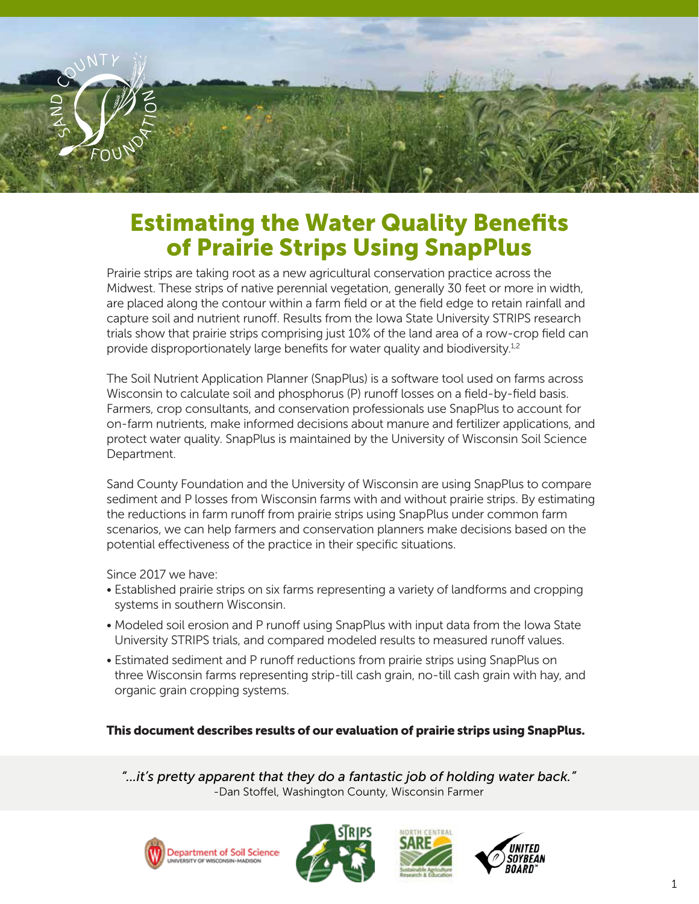

### Estimating the Water Quality Benefits of Prairie Strips Using SnapPlus

Prairie strips are taking root as a new agricultural conservation practice across the Midwest. These strips of native perennial vegetation, generally 30 feet or more in width, are placed along the contour within a farm field or at the field edge to retain rainfall and capture soil and nutrient runoff. Results from the Iowa State University STRIPS research trials show that prairie strips comprising just 10% of the land area of a row-crop field can provide disproportionately large benefits for water quality and biodiversity.<sup>1,2</sup>

The Soil Nutrient Application Planner (SnapPlus) is a software tool used on farms across Wisconsin to calculate soil and phosphorus (P) runoff losses on a field-by-field basis. Farmers, crop consultants, and conservation professionals use SnapPlus to account for on-farm nutrients, make informed decisions about manure and fertilizer applications, and protect water quality. SnapPlus is maintained by the University of Wisconsin Soil Science Department.

Sand County Foundation and the University of Wisconsin are using SnapPlus to compare sediment and P losses from Wisconsin farms with and without prairie strips. By estimating the reductions in farm runoff from prairie strips using SnapPlus under common farm scenarios, we can help farmers and conservation planners make decisions based on the potential effectiveness of the practice in their specific situations.

Since 2017 we have:

- Established prairie strips on six farms representing a variety of landforms and cropping systems in southern Wisconsin.
- Modeled soil erosion and P runoff using SnapPlus with input data from the Iowa State University STRIPS trials, and compared modeled results to measured runoff values.
- Estimated sediment and P runoff reductions from prairie strips using SnapPlus on three Wisconsin farms representing strip-till cash grain, no-till cash grain with hay, and organic grain cropping systems.

#### This document describes results of our evaluation of prairie strips using SnapPlus.

*"...it's pretty apparent that they do a fantastic job of holding water back."*  -Dan Stoffel, Washington County, Wisconsin Farmer







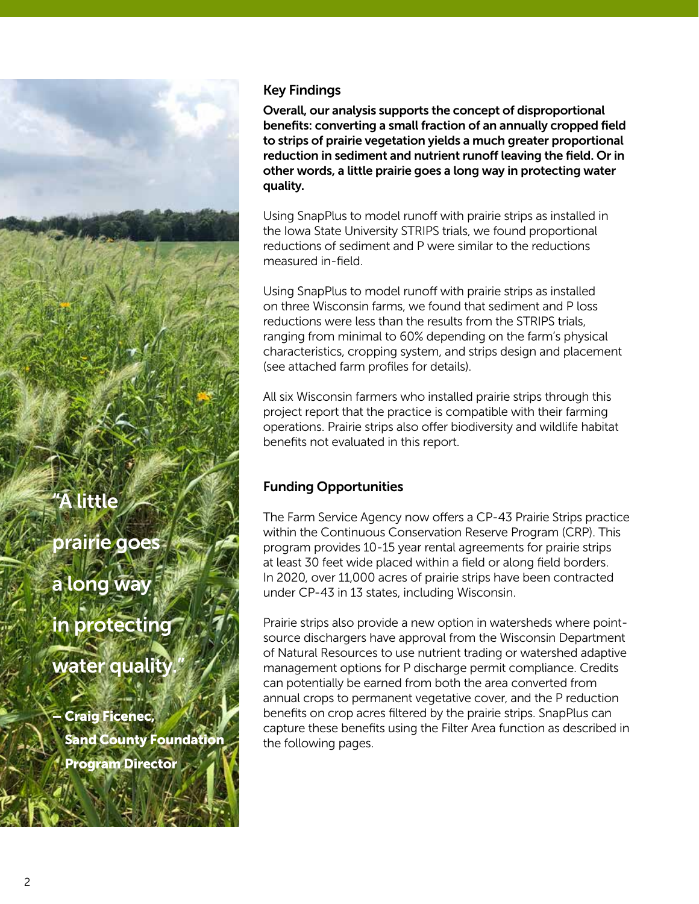# **A** little prairie goes

a long way

in protecting

water quality

**Craig Ficenec** Sand County Foundation Program Director

#### Key Findings

Overall, our analysis supports the concept of disproportional benefits: converting a small fraction of an annually cropped field to strips of prairie vegetation yields a much greater proportional reduction in sediment and nutrient runoff leaving the field. Or in other words, a little prairie goes a long way in protecting water quality.

Using SnapPlus to model runoff with prairie strips as installed in the Iowa State University STRIPS trials, we found proportional reductions of sediment and P were similar to the reductions measured in-field.

Using SnapPlus to model runoff with prairie strips as installed on three Wisconsin farms, we found that sediment and P loss reductions were less than the results from the STRIPS trials, ranging from minimal to 60% depending on the farm's physical characteristics, cropping system, and strips design and placement (see attached farm profiles for details).

All six Wisconsin farmers who installed prairie strips through this project report that the practice is compatible with their farming operations. Prairie strips also offer biodiversity and wildlife habitat benefits not evaluated in this report.

### Funding Opportunities

The Farm Service Agency now offers a CP-43 Prairie Strips practice within the Continuous Conservation Reserve Program (CRP). This program provides 10-15 year rental agreements for prairie strips at least 30 feet wide placed within a field or along field borders. In 2020, over 11,000 acres of prairie strips have been contracted under CP-43 in 13 states, including Wisconsin.

Prairie strips also provide a new option in watersheds where pointsource dischargers have approval from the Wisconsin Department of Natural Resources to use nutrient trading or watershed adaptive management options for P discharge permit compliance. Credits can potentially be earned from both the area converted from annual crops to permanent vegetative cover, and the P reduction benefits on crop acres filtered by the prairie strips. SnapPlus can capture these benefits using the Filter Area function as described in the following pages.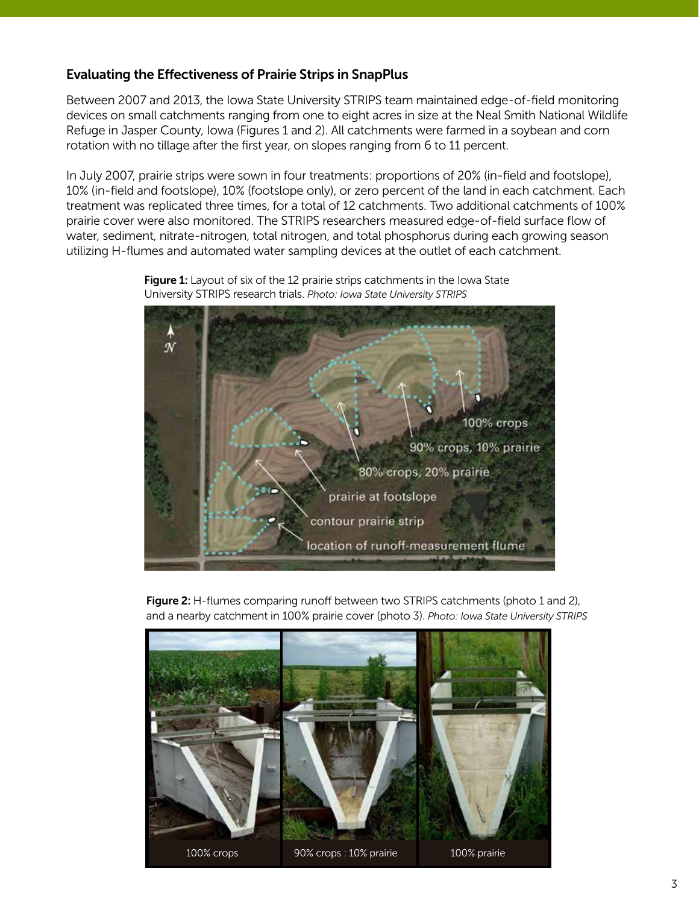#### Evaluating the Effectiveness of Prairie Strips in SnapPlus

Between 2007 and 2013, the Iowa State University STRIPS team maintained edge-of-field monitoring devices on small catchments ranging from one to eight acres in size at the Neal Smith National Wildlife Refuge in Jasper County, Iowa (Figures 1 and 2). All catchments were farmed in a soybean and corn rotation with no tillage after the first year, on slopes ranging from 6 to 11 percent.

In July 2007, prairie strips were sown in four treatments: proportions of 20% (in-field and footslope), 10% (in-field and footslope), 10% (footslope only), or zero percent of the land in each catchment. Each treatment was replicated three times, for a total of 12 catchments. Two additional catchments of 100% prairie cover were also monitored. The STRIPS researchers measured edge-of-field surface flow of water, sediment, nitrate-nitrogen, total nitrogen, and total phosphorus during each growing season utilizing H-flumes and automated water sampling devices at the outlet of each catchment.



Figure 1: Layout of six of the 12 prairie strips catchments in the Iowa State University STRIPS research trials. *Photo: Iowa State University STRIPS*

Figure 2: H-flumes comparing runoff between two STRIPS catchments (photo 1 and 2), and a nearby catchment in 100% prairie cover (photo 3). *Photo: Iowa State University STRIPS*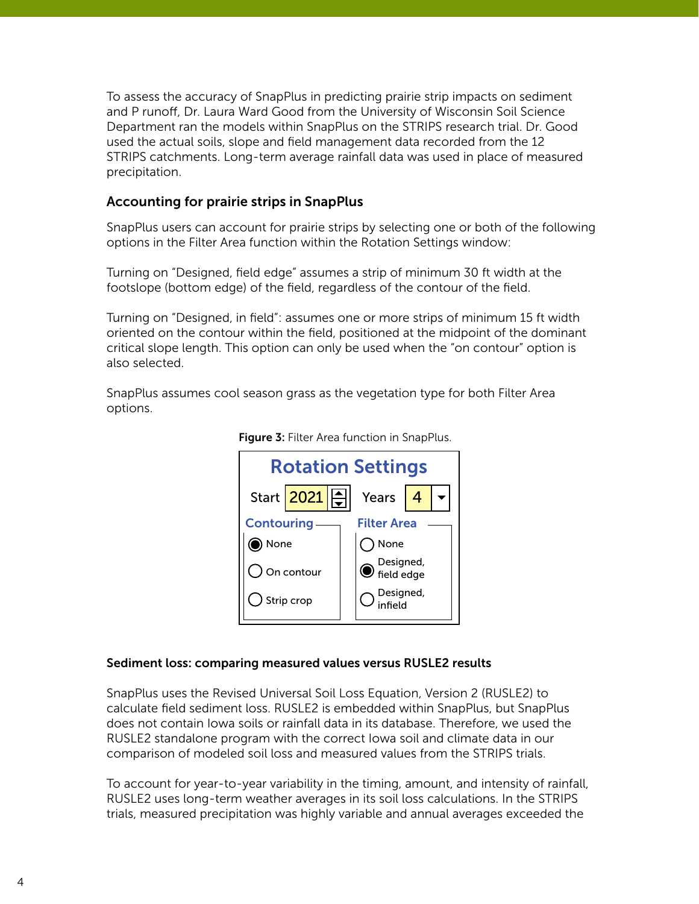To assess the accuracy of SnapPlus in predicting prairie strip impacts on sediment and P runoff, Dr. Laura Ward Good from the University of Wisconsin Soil Science Department ran the models within SnapPlus on the STRIPS research trial. Dr. Good used the actual soils, slope and field management data recorded from the 12 STRIPS catchments. Long-term average rainfall data was used in place of measured precipitation.

#### Accounting for prairie strips in SnapPlus

SnapPlus users can account for prairie strips by selecting one or both of the following options in the Filter Area function within the Rotation Settings window:

Turning on "Designed, field edge" assumes a strip of minimum 30 ft width at the footslope (bottom edge) of the field, regardless of the contour of the field.

Turning on "Designed, in field": assumes one or more strips of minimum 15 ft width oriented on the contour within the field, positioned at the midpoint of the dominant critical slope length. This option can only be used when the "on contour" option is also selected.

SnapPlus assumes cool season grass as the vegetation type for both Filter Area options.

| <b>Rotation Settings</b> |                             |  |  |  |  |
|--------------------------|-----------------------------|--|--|--|--|
| Start 2021               | Years<br>4                  |  |  |  |  |
| <b>Contouring</b>        | <b>Filter Area</b>          |  |  |  |  |
| <b>None</b>              | None                        |  |  |  |  |
| On contour               | Designed,<br>) field edge   |  |  |  |  |
| Strip crop               | Designed,<br><b>infield</b> |  |  |  |  |

Figure 3: Filter Area function in SnapPlus.

#### Sediment loss: comparing measured values versus RUSLE2 results

SnapPlus uses the Revised Universal Soil Loss Equation, Version 2 (RUSLE2) to calculate field sediment loss. RUSLE2 is embedded within SnapPlus, but SnapPlus does not contain Iowa soils or rainfall data in its database. Therefore, we used the RUSLE2 standalone program with the correct Iowa soil and climate data in our comparison of modeled soil loss and measured values from the STRIPS trials.

To account for year-to-year variability in the timing, amount, and intensity of rainfall, RUSLE2 uses long-term weather averages in its soil loss calculations. In the STRIPS trials, measured precipitation was highly variable and annual averages exceeded the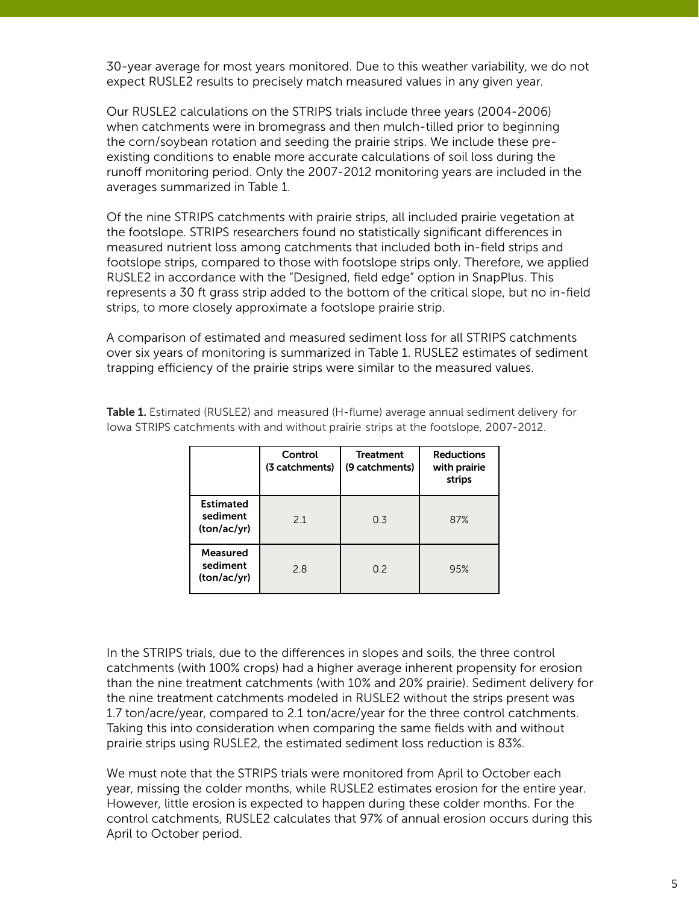30-year average for most years monitored. Due to this weather variability, we do not expect RUSLE2 results to precisely match measured values in any given year.

Our RUSLE2 calculations on the STRIPS trials include three years (2004-2006) when catchments were in bromegrass and then mulch-tilled prior to beginning the corn/soybean rotation and seeding the prairie strips. We include these preexisting conditions to enable more accurate calculations of soil loss during the runoff monitoring period. Only the 2007-2012 monitoring years are included in the averages summarized in Table 1.

Of the nine STRIPS catchments with prairie strips, all included prairie vegetation at the footslope. STRIPS researchers found no statistically significant differences in measured nutrient loss among catchments that included both in-field strips and footslope strips, compared to those with footslope strips only. Therefore, we applied RUSLE2 in accordance with the "Designed, field edge" option in SnapPlus. This represents a 30 ft grass strip added to the bottom of the critical slope, but no in-field strips, to more closely approximate a footslope prairie strip.

A comparison of estimated and measured sediment loss for all STRIPS catchments over six years of monitoring is summarized in Table 1. RUSLE2 estimates of sediment trapping efficiency of the prairie strips were similar to the measured values.

|                                             | Control<br>(3 catchments) | <b>Treatment</b><br>(9 catchments) | <b>Reductions</b><br>with prairie<br>strips |
|---------------------------------------------|---------------------------|------------------------------------|---------------------------------------------|
| <b>Estimated</b><br>sediment<br>(ton/ac/yr) | 2.1                       | 0.3                                | 87%                                         |
| Measured<br>sediment<br>(ton/ac/yr)         | 2.8                       | 02                                 | 95%                                         |

Table 1. Estimated (RUSLE2) and measured (H-flume) average annual sediment delivery for Iowa STRIPS catchments with and without prairie strips at the footslope, 2007-2012.

In the STRIPS trials, due to the differences in slopes and soils, the three control catchments (with 100% crops) had a higher average inherent propensity for erosion than the nine treatment catchments (with 10% and 20% prairie). Sediment delivery for the nine treatment catchments modeled in RUSLE2 without the strips present was 1.7 ton/acre/year, compared to 2.1 ton/acre/year for the three control catchments. Taking this into consideration when comparing the same fields with and without prairie strips using RUSLE2, the estimated sediment loss reduction is 83%.

We must note that the STRIPS trials were monitored from April to October each year, missing the colder months, while RUSLE2 estimates erosion for the entire year. However, little erosion is expected to happen during these colder months. For the control catchments, RUSLE2 calculates that 97% of annual erosion occurs during this April to October period.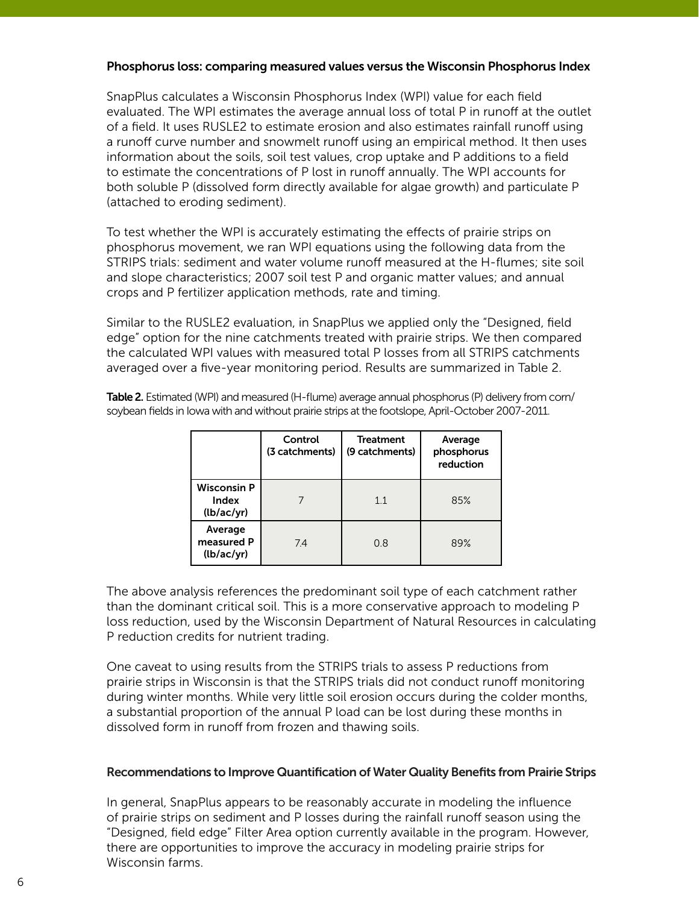#### Phosphorus loss: comparing measured values versus the Wisconsin Phosphorus Index

SnapPlus calculates a Wisconsin Phosphorus Index (WPI) value for each field evaluated. The WPI estimates the average annual loss of total P in runoff at the outlet of a field. It uses RUSLE2 to estimate erosion and also estimates rainfall runoff using a runoff curve number and snowmelt runoff using an empirical method. It then uses information about the soils, soil test values, crop uptake and P additions to a field to estimate the concentrations of P lost in runoff annually. The WPI accounts for both soluble P (dissolved form directly available for algae growth) and particulate P (attached to eroding sediment).

To test whether the WPI is accurately estimating the effects of prairie strips on phosphorus movement, we ran WPI equations using the following data from the STRIPS trials: sediment and water volume runoff measured at the H-flumes; site soil and slope characteristics; 2007 soil test P and organic matter values; and annual crops and P fertilizer application methods, rate and timing.

Similar to the RUSLE2 evaluation, in SnapPlus we applied only the "Designed, field edge" option for the nine catchments treated with prairie strips. We then compared the calculated WPI values with measured total P losses from all STRIPS catchments averaged over a five-year monitoring period. Results are summarized in Table 2.

|                                           | Control<br>(3 catchments) | <b>Treatment</b><br>(9 catchments) | Average<br>phosphorus<br>reduction |
|-------------------------------------------|---------------------------|------------------------------------|------------------------------------|
| <b>Wisconsin P</b><br>Index<br>(lb/ac/yr) |                           | 1.1                                | 85%                                |
| Average<br>measured P<br>(lb/ac/yr)       | 74                        | 0.8                                | 89%                                |

Table 2. Estimated (WPI) and measured (H-flume) average annual phosphorus (P) delivery from corn/ soybean fields in Iowa with and without prairie strips at the footslope, April-October 2007-2011.

The above analysis references the predominant soil type of each catchment rather than the dominant critical soil. This is a more conservative approach to modeling P loss reduction, used by the Wisconsin Department of Natural Resources in calculating P reduction credits for nutrient trading.

One caveat to using results from the STRIPS trials to assess P reductions from prairie strips in Wisconsin is that the STRIPS trials did not conduct runoff monitoring during winter months. While very little soil erosion occurs during the colder months, a substantial proportion of the annual P load can be lost during these months in dissolved form in runoff from frozen and thawing soils.

#### Recommendations to Improve Quantification of Water Quality Benefits from Prairie Strips

In general, SnapPlus appears to be reasonably accurate in modeling the influence of prairie strips on sediment and P losses during the rainfall runoff season using the "Designed, field edge" Filter Area option currently available in the program. However, there are opportunities to improve the accuracy in modeling prairie strips for Wisconsin farms.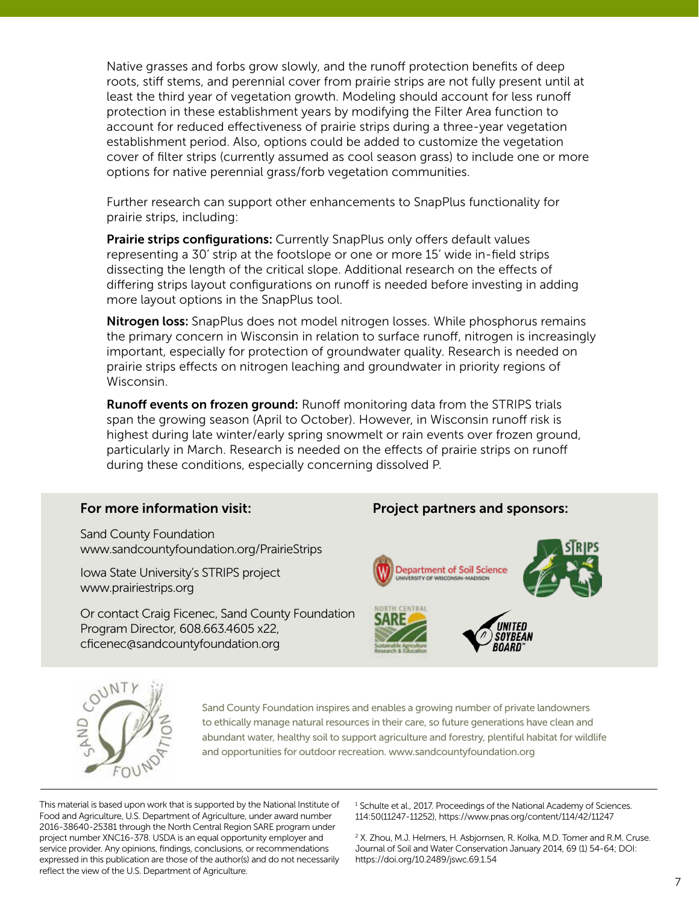Native grasses and forbs grow slowly, and the runoff protection benefits of deep roots, stiff stems, and perennial cover from prairie strips are not fully present until at least the third year of vegetation growth. Modeling should account for less runoff protection in these establishment years by modifying the Filter Area function to account for reduced effectiveness of prairie strips during a three-year vegetation establishment period. Also, options could be added to customize the vegetation cover of filter strips (currently assumed as cool season grass) to include one or more options for native perennial grass/forb vegetation communities.

Further research can support other enhancements to SnapPlus functionality for prairie strips, including:

Prairie strips configurations: Currently SnapPlus only offers default values representing a 30' strip at the footslope or one or more 15' wide in-field strips dissecting the length of the critical slope. Additional research on the effects of differing strips layout configurations on runoff is needed before investing in adding more layout options in the SnapPlus tool.

**Nitrogen loss:** SnapPlus does not model nitrogen losses. While phosphorus remains the primary concern in Wisconsin in relation to surface runoff, nitrogen is increasingly important, especially for protection of groundwater quality. Research is needed on prairie strips effects on nitrogen leaching and groundwater in priority regions of Wisconsin.

Runoff events on frozen ground: Runoff monitoring data from the STRIPS trials span the growing season (April to October). However, in Wisconsin runoff risk is highest during late winter/early spring snowmelt or rain events over frozen ground, particularly in March. Research is needed on the effects of prairie strips on runoff during these conditions, especially concerning dissolved P.

Sand County Foundation www.sandcountyfoundation.org/PrairieStrips

Iowa State University's STRIPS project www.prairiestrips.org

Or contact Craig Ficenec, Sand County Foundation Program Director, 608.663.4605 x22, cficenec@sandcountyfoundation.org

#### For more information visit: Project partners and sponsors:





Sand County Foundation inspires and enables a growing number of private landowners to ethically manage natural resources in their care, so future generations have clean and abundant water, healthy soil to support agriculture and forestry, plentiful habitat for wildlife and opportunities for outdoor recreation. [www.sandcountyfoundation.org](http://www.sandcountyfoundation.org) 

This material is based upon work that is supported by the National Institute of Food and Agriculture, U.S. Department of Agriculture, under award number 2016-38640-25381 through the North Central Region SARE program under project number XNC16-378. USDA is an equal opportunity employer and service provider. Any opinions, findings, conclusions, or recommendations expressed in this publication are those of the author(s) and do not necessarily reflect the view of the U.S. Department of Agriculture.

<sup>1</sup> Schulte et al., 2017. Proceedings of the National Academy of Sciences. 114:50(11247-11252), https://www.pnas.org/content/114/42/11247

2 X. Zhou, M.J. Helmers, H. Asbjornsen, R. Kolka, M.D. Tomer and R.M. Cruse. Journal of Soil and Water Conservation January 2014, 69 (1) 54-64; DOI: https://doi.org/10.2489/jswc.69.1.54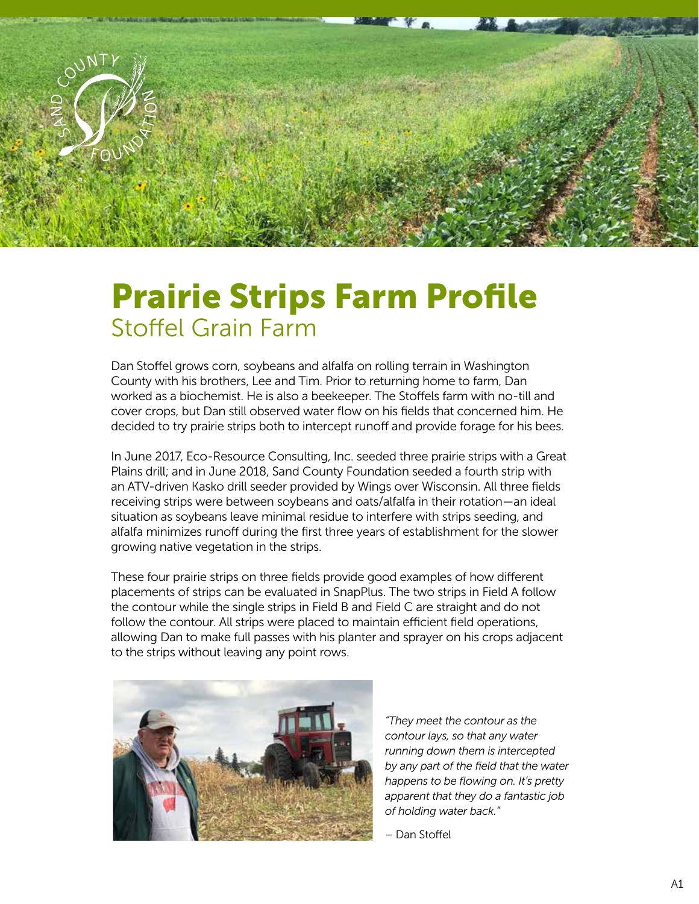

## Prairie Strips Farm Profile Stoffel Grain Farm

Dan Stoffel grows corn, soybeans and alfalfa on rolling terrain in Washington County with his brothers, Lee and Tim. Prior to returning home to farm, Dan worked as a biochemist. He is also a beekeeper. The Stoffels farm with no-till and cover crops, but Dan still observed water flow on his fields that concerned him. He decided to try prairie strips both to intercept runoff and provide forage for his bees.

In June 2017, Eco-Resource Consulting, Inc. seeded three prairie strips with a Great Plains drill; and in June 2018, Sand County Foundation seeded a fourth strip with an ATV-driven Kasko drill seeder provided by Wings over Wisconsin. All three fields receiving strips were between soybeans and oats/alfalfa in their rotation—an ideal situation as soybeans leave minimal residue to interfere with strips seeding, and alfalfa minimizes runoff during the first three years of establishment for the slower growing native vegetation in the strips.

These four prairie strips on three fields provide good examples of how different placements of strips can be evaluated in SnapPlus. The two strips in Field A follow the contour while the single strips in Field B and Field C are straight and do not follow the contour. All strips were placed to maintain efficient field operations, allowing Dan to make full passes with his planter and sprayer on his crops adjacent to the strips without leaving any point rows.



*"They meet the contour as the contour lays, so that any water running down them is intercepted by any part of the field that the water happens to be flowing on. It's pretty apparent that they do a fantastic job of holding water back."*

– Dan Stoffel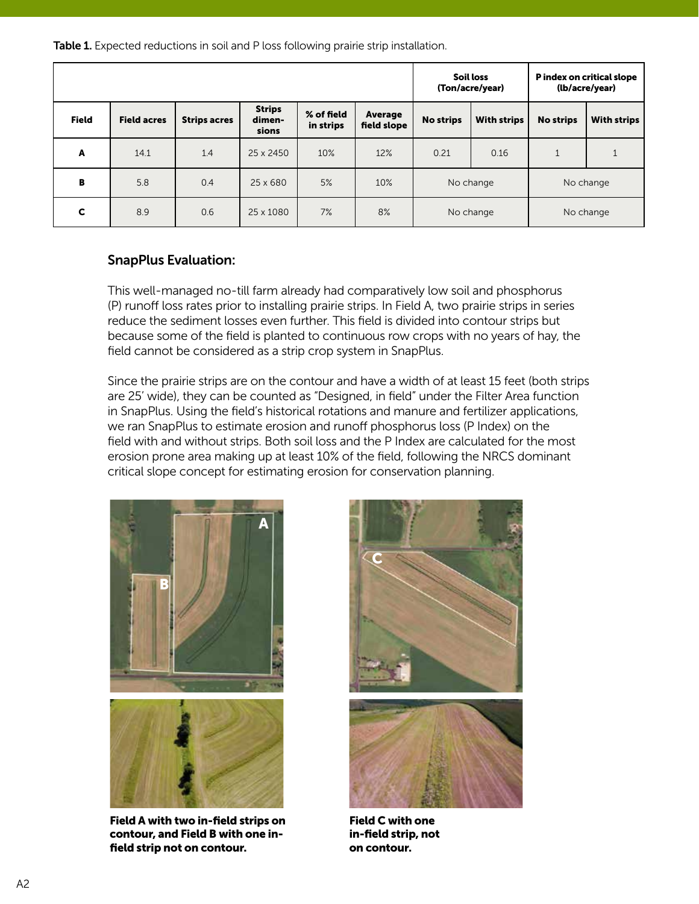Table 1. Expected reductions in soil and P loss following prairie strip installation.

|              |                    |                     | Soil loss<br>(Ton/acre/year)     |                         | P index on critical slope<br>(lb/acre/year) |                  |                    |                  |                    |
|--------------|--------------------|---------------------|----------------------------------|-------------------------|---------------------------------------------|------------------|--------------------|------------------|--------------------|
| <b>Field</b> | <b>Field acres</b> | <b>Strips acres</b> | <b>Strips</b><br>dimen-<br>sions | % of field<br>in strips | Average<br>field slope                      | <b>No strips</b> | <b>With strips</b> | <b>No strips</b> | <b>With strips</b> |
| A            | 14.1               | 1.4                 | 25 x 2450                        | 10%                     | 12%                                         | 0.21             | 0.16               | $\mathbf{1}$     |                    |
| B            | 5.8                | 0.4                 | $25 \times 680$                  | 5%                      | 10%                                         |                  | No change          |                  | No change          |
| C            | 8.9                | 0.6                 | 25 x 1080                        | 7%                      | 8%                                          |                  | No change          |                  | No change          |

#### SnapPlus Evaluation:

This well-managed no-till farm already had comparatively low soil and phosphorus (P) runoff loss rates prior to installing prairie strips. In Field A, two prairie strips in series reduce the sediment losses even further. This field is divided into contour strips but because some of the field is planted to continuous row crops with no years of hay, the field cannot be considered as a strip crop system in SnapPlus.

Since the prairie strips are on the contour and have a width of at least 15 feet (both strips are 25' wide), they can be counted as "Designed, in field" under the Filter Area function in SnapPlus. Using the field's historical rotations and manure and fertilizer applications, we ran SnapPlus to estimate erosion and runoff phosphorus loss (P Index) on the field with and without strips. Both soil loss and the P Index are calculated for the most erosion prone area making up at least 10% of the field, following the NRCS dominant critical slope concept for estimating erosion for conservation planning.



Field A with two in-field strips on contour, and Field B with one infield strip not on contour.





Field C with one in-field strip, not on contour.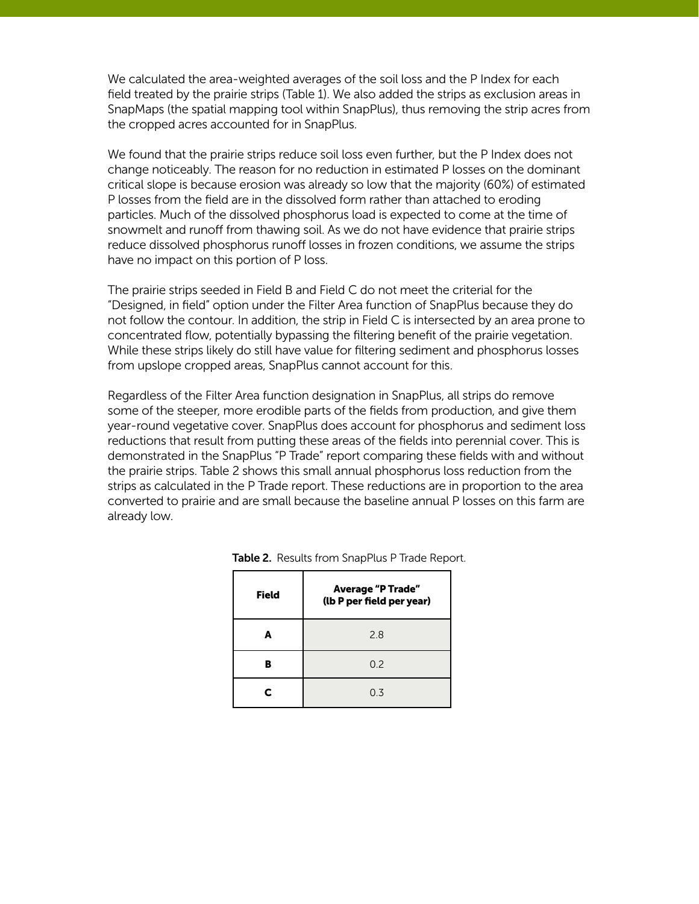We calculated the area-weighted averages of the soil loss and the P Index for each field treated by the prairie strips (Table 1). We also added the strips as exclusion areas in SnapMaps (the spatial mapping tool within SnapPlus), thus removing the strip acres from the cropped acres accounted for in SnapPlus.

We found that the prairie strips reduce soil loss even further, but the P Index does not change noticeably. The reason for no reduction in estimated P losses on the dominant critical slope is because erosion was already so low that the majority (60%) of estimated P losses from the field are in the dissolved form rather than attached to eroding particles. Much of the dissolved phosphorus load is expected to come at the time of snowmelt and runoff from thawing soil. As we do not have evidence that prairie strips reduce dissolved phosphorus runoff losses in frozen conditions, we assume the strips have no impact on this portion of P loss.

The prairie strips seeded in Field B and Field C do not meet the criterial for the "Designed, in field" option under the Filter Area function of SnapPlus because they do not follow the contour. In addition, the strip in Field C is intersected by an area prone to concentrated flow, potentially bypassing the filtering benefit of the prairie vegetation. While these strips likely do still have value for filtering sediment and phosphorus losses from upslope cropped areas, SnapPlus cannot account for this.

Regardless of the Filter Area function designation in SnapPlus, all strips do remove some of the steeper, more erodible parts of the fields from production, and give them year-round vegetative cover. SnapPlus does account for phosphorus and sediment loss reductions that result from putting these areas of the fields into perennial cover. This is demonstrated in the SnapPlus "P Trade" report comparing these fields with and without the prairie strips. Table 2 shows this small annual phosphorus loss reduction from the strips as calculated in the P Trade report. These reductions are in proportion to the area converted to prairie and are small because the baseline annual P losses on this farm are already low.

| Field | <b>Average "P Trade"</b><br>(Ib P per field per year) |  |  |
|-------|-------------------------------------------------------|--|--|
| A     | 2.8                                                   |  |  |
| в     | 0.2                                                   |  |  |
| C     | 0.3                                                   |  |  |

|  |  |  | <b>Table 2.</b> Results from SnapPlus P Trade Report. |
|--|--|--|-------------------------------------------------------|
|--|--|--|-------------------------------------------------------|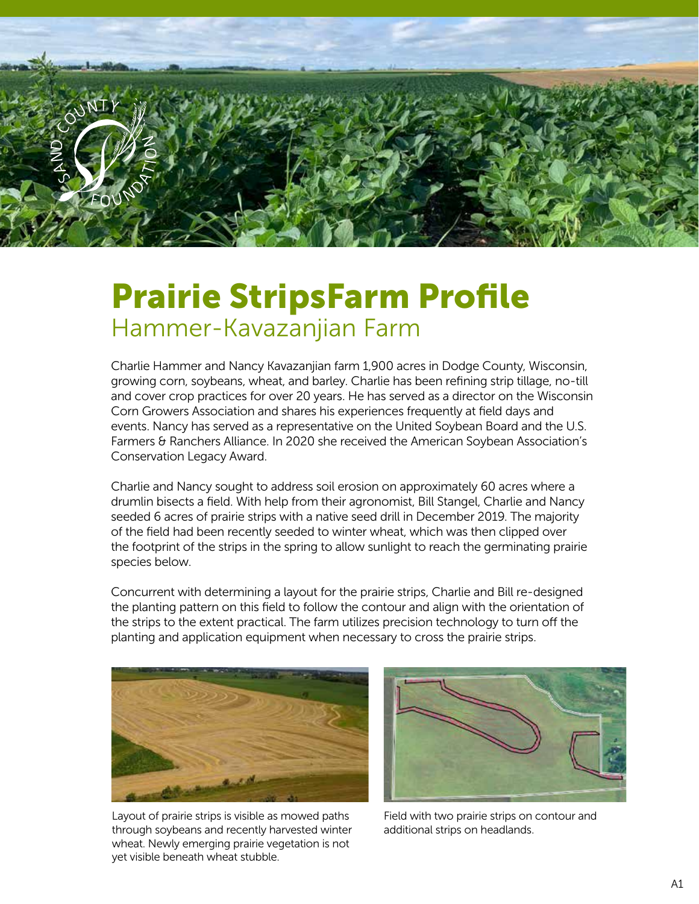

### Prairie StripsFarm Profile Hammer-Kavazanjian Farm

Charlie Hammer and Nancy Kavazanjian farm 1,900 acres in Dodge County, Wisconsin, growing corn, soybeans, wheat, and barley. Charlie has been refining strip tillage, no-till and cover crop practices for over 20 years. He has served as a director on the Wisconsin Corn Growers Association and shares his experiences frequently at field days and events. Nancy has served as a representative on the United Soybean Board and the U.S. Farmers & Ranchers Alliance. In 2020 she received the American Soybean Association's Conservation Legacy Award.

Charlie and Nancy sought to address soil erosion on approximately 60 acres where a drumlin bisects a field. With help from their agronomist, Bill Stangel, Charlie and Nancy seeded 6 acres of prairie strips with a native seed drill in December 2019. The majority of the field had been recently seeded to winter wheat, which was then clipped over the footprint of the strips in the spring to allow sunlight to reach the germinating prairie species below.

Concurrent with determining a layout for the prairie strips, Charlie and Bill re-designed the planting pattern on this field to follow the contour and align with the orientation of the strips to the extent practical. The farm utilizes precision technology to turn off the planting and application equipment when necessary to cross the prairie strips.



Layout of prairie strips is visible as mowed paths through soybeans and recently harvested winter wheat. Newly emerging prairie vegetation is not yet visible beneath wheat stubble.



Field with two prairie strips on contour and additional strips on headlands.